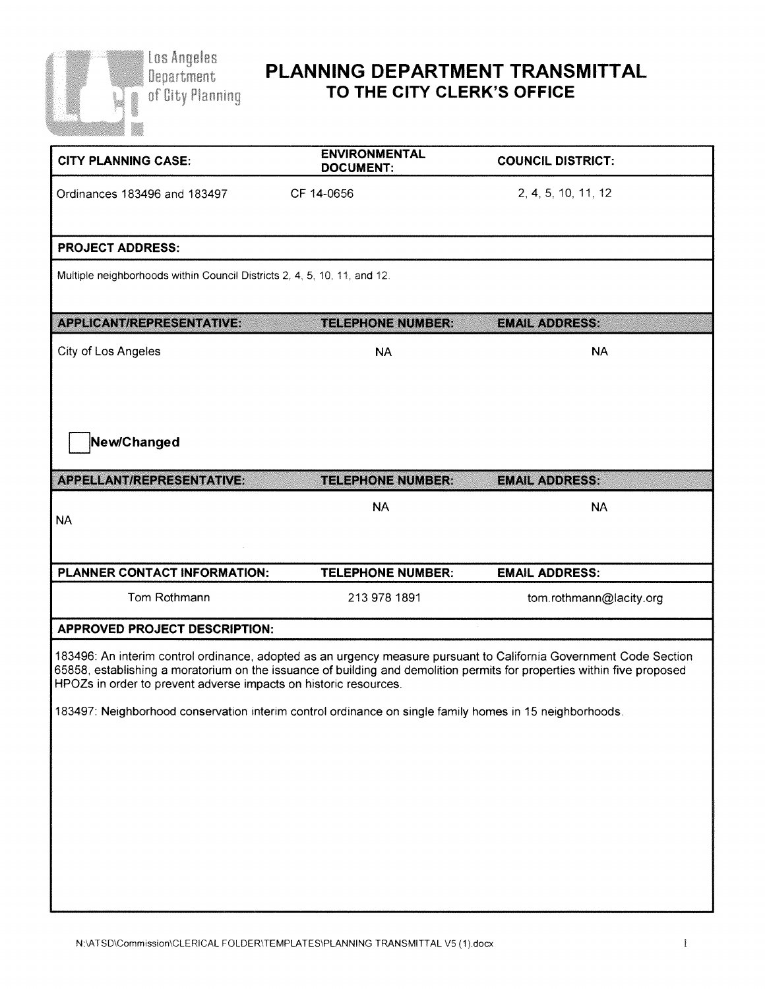

## **PLANNING DEPARTMENT TRANSMITTAL TO THE CITY CLERK'S OFFICE**

| <b>ENVIRONMENTAL</b><br><b>DOCUMENT:</b>                                                                | <b>COUNCIL DISTRICT:</b>                                                                                                                                                                                                                      |
|---------------------------------------------------------------------------------------------------------|-----------------------------------------------------------------------------------------------------------------------------------------------------------------------------------------------------------------------------------------------|
| CF 14-0656                                                                                              | 2, 4, 5, 10, 11, 12                                                                                                                                                                                                                           |
|                                                                                                         |                                                                                                                                                                                                                                               |
| Multiple neighborhoods within Council Districts 2, 4, 5, 10, 11, and 12.                                |                                                                                                                                                                                                                                               |
| <b>TELEPHONE NUMBER:</b>                                                                                | <b>EMAIL ADDRESS:</b>                                                                                                                                                                                                                         |
| <b>NA</b>                                                                                               | <b>NA</b>                                                                                                                                                                                                                                     |
|                                                                                                         |                                                                                                                                                                                                                                               |
| <b>TELEPHONE NUMBER:</b>                                                                                | <b>EMAIL ADDRESS:</b>                                                                                                                                                                                                                         |
| <b>NA</b>                                                                                               | <b>NA</b>                                                                                                                                                                                                                                     |
| <b>TELEPHONE NUMBER:</b>                                                                                | <b>EMAIL ADDRESS:</b>                                                                                                                                                                                                                         |
| 213 978 1891                                                                                            | tom.rothmann@lacity.org                                                                                                                                                                                                                       |
|                                                                                                         |                                                                                                                                                                                                                                               |
| HPOZs in order to prevent adverse impacts on historic resources.                                        | 183496: An interim control ordinance, adopted as an urgency measure pursuant to California Government Code Section<br>65858, establishing a moratorium on the issuance of building and demolition permits for properties within five proposed |
| 183497: Neighborhood conservation interim control ordinance on single family homes in 15 neighborhoods. |                                                                                                                                                                                                                                               |
|                                                                                                         |                                                                                                                                                                                                                                               |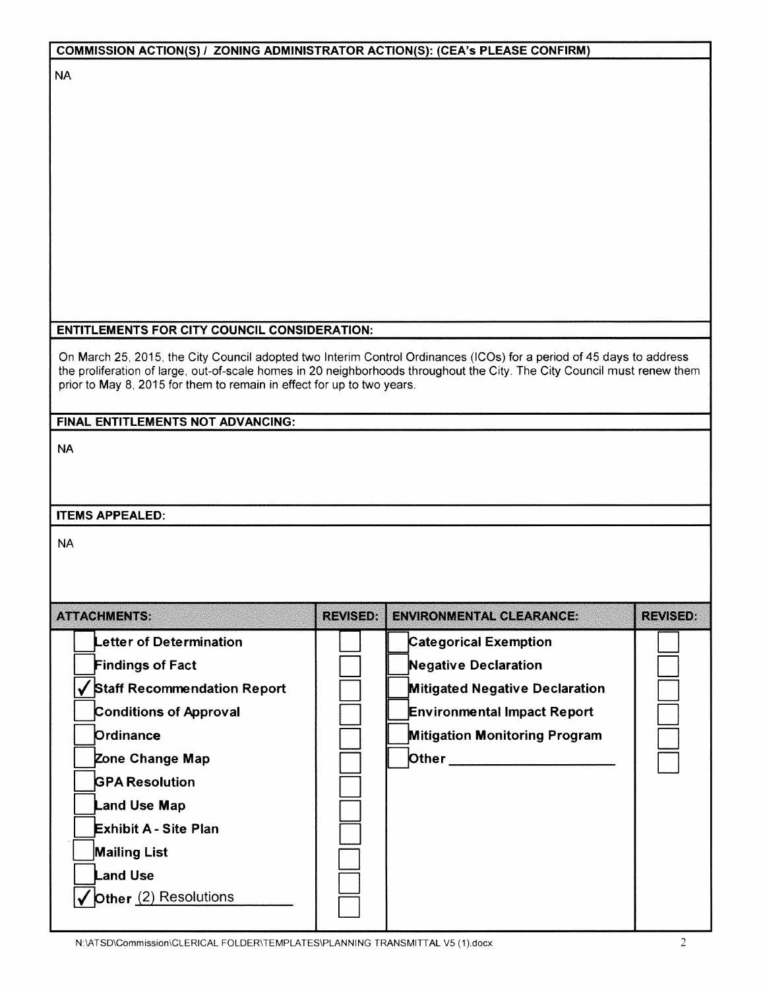| <b>COMMISSION ACTION(S) / ZONING ADMINISTRATOR ACTION(S): (CEA's PLEASE CONFIRM)</b>                                     |                 |                                       |                 |
|--------------------------------------------------------------------------------------------------------------------------|-----------------|---------------------------------------|-----------------|
| <b>NA</b>                                                                                                                |                 |                                       |                 |
|                                                                                                                          |                 |                                       |                 |
|                                                                                                                          |                 |                                       |                 |
|                                                                                                                          |                 |                                       |                 |
|                                                                                                                          |                 |                                       |                 |
|                                                                                                                          |                 |                                       |                 |
|                                                                                                                          |                 |                                       |                 |
|                                                                                                                          |                 |                                       |                 |
|                                                                                                                          |                 |                                       |                 |
|                                                                                                                          |                 |                                       |                 |
|                                                                                                                          |                 |                                       |                 |
| <b>ENTITLEMENTS FOR CITY COUNCIL CONSIDERATION:</b>                                                                      |                 |                                       |                 |
| On March 25, 2015, the City Council adopted two Interim Control Ordinances (ICOs) for a period of 45 days to address     |                 |                                       |                 |
| the proliferation of large, out-of-scale homes in 20 neighborhoods throughout the City. The City Council must renew them |                 |                                       |                 |
| prior to May 8, 2015 for them to remain in effect for up to two years.                                                   |                 |                                       |                 |
| FINAL ENTITLEMENTS NOT ADVANCING:                                                                                        |                 |                                       |                 |
| <b>NA</b>                                                                                                                |                 |                                       |                 |
|                                                                                                                          |                 |                                       |                 |
|                                                                                                                          |                 |                                       |                 |
| <b>ITEMS APPEALED:</b>                                                                                                   |                 |                                       |                 |
|                                                                                                                          |                 |                                       |                 |
| <b>NA</b>                                                                                                                |                 |                                       |                 |
|                                                                                                                          |                 |                                       |                 |
|                                                                                                                          |                 |                                       |                 |
| <b>ATTACHMENTS:</b>                                                                                                      | <b>REVISED:</b> | <b>ENVIRONMENTAL CLEARANCE:</b>       | <b>REVISED:</b> |
| Letter of Determination                                                                                                  |                 | <b>Categorical Exemption</b>          |                 |
| <b>Findings of Fact</b>                                                                                                  |                 | <b>Negative Declaration</b>           |                 |
| ✔ Staff Recommendation Report                                                                                            |                 | <b>Mitigated Negative Declaration</b> |                 |
| <b>Conditions of Approval</b>                                                                                            |                 | <b>Environmental Impact Report</b>    |                 |
| Ordinance                                                                                                                |                 | <b>Mitigation Monitoring Program</b>  |                 |
| Zone Change Map                                                                                                          |                 | <b>Other</b> 2007 2008 2014           |                 |
| <b>GPA Resolution</b>                                                                                                    |                 |                                       |                 |
| Land Use Map                                                                                                             |                 |                                       |                 |
| <b>Exhibit A - Site Plan</b>                                                                                             |                 |                                       |                 |
| <b>Mailing List</b>                                                                                                      |                 |                                       |                 |
| <b>Land Use</b>                                                                                                          |                 |                                       |                 |
| ✔ Other (2) Resolutions                                                                                                  |                 |                                       |                 |
|                                                                                                                          |                 |                                       |                 |

N:\ATSD\Commission\CLERICAL FOLDER\TEMPLATES\PLANNING TRANSMITTAL V5 (1).docx 2